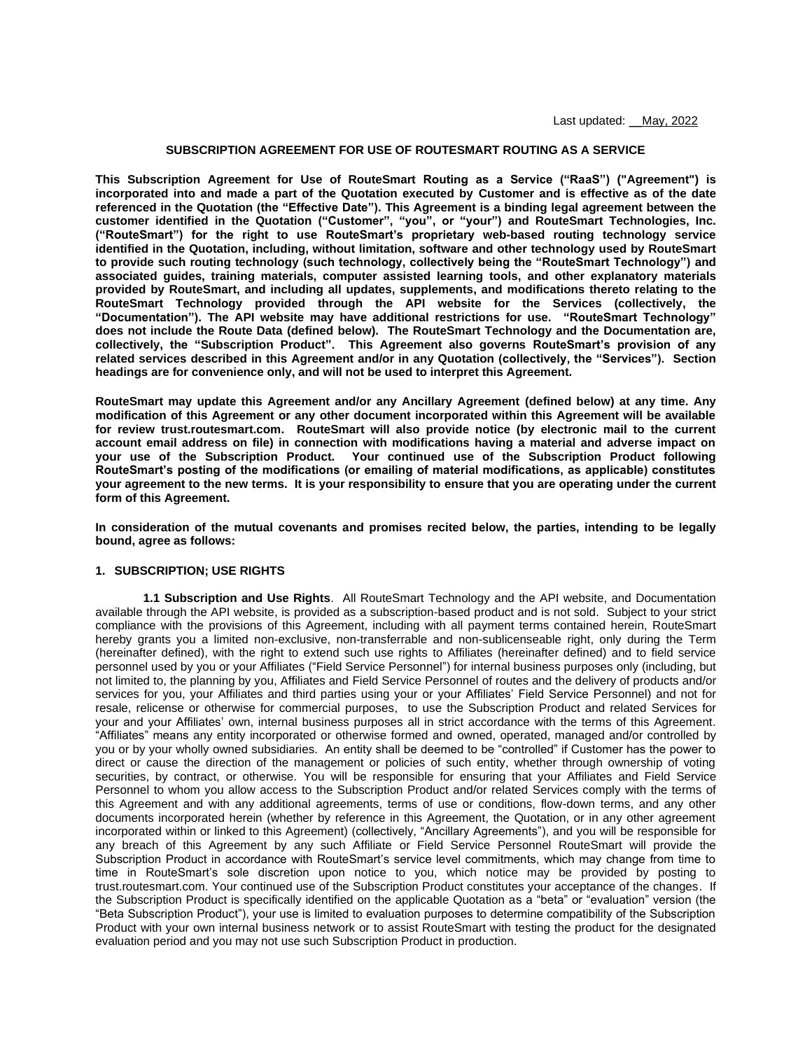## **SUBSCRIPTION AGREEMENT FOR USE OF ROUTESMART ROUTING AS A SERVICE**

**This Subscription Agreement for Use of RouteSmart Routing as a Service ("RaaS") ("Agreement") is incorporated into and made a part of the Quotation executed by Customer and is effective as of the date referenced in the Quotation (the "Effective Date"). This Agreement is a binding legal agreement between the customer identified in the Quotation ("Customer", "you", or "your") and RouteSmart Technologies, Inc. ("RouteSmart") for the right to use RouteSmart's proprietary web-based routing technology service identified in the Quotation, including, without limitation, software and other technology used by RouteSmart to provide such routing technology (such technology, collectively being the "RouteSmart Technology") and associated guides, training materials, computer assisted learning tools, and other explanatory materials provided by RouteSmart, and including all updates, supplements, and modifications thereto relating to the RouteSmart Technology provided through the API website for the Services (collectively, the "Documentation"). The API website may have additional restrictions for use. "RouteSmart Technology" does not include the Route Data (defined below). The RouteSmart Technology and the Documentation are, collectively, the "Subscription Product". This Agreement also governs RouteSmart's provision of any related services described in this Agreement and/or in any Quotation (collectively, the "Services"). Section headings are for convenience only, and will not be used to interpret this Agreement.**

**RouteSmart may update this Agreement and/or any Ancillary Agreement (defined below) at any time. Any modification of this Agreement or any other document incorporated within this Agreement will be available for review trust.routesmart.com. RouteSmart will also provide notice (by electronic mail to the current account email address on file) in connection with modifications having a material and adverse impact on your use of the Subscription Product. Your continued use of the Subscription Product following RouteSmart's posting of the modifications (or emailing of material modifications, as applicable) constitutes your agreement to the new terms. It is your responsibility to ensure that you are operating under the current form of this Agreement.** 

**In consideration of the mutual covenants and promises recited below, the parties, intending to be legally bound, agree as follows:**

## **1. SUBSCRIPTION; USE RIGHTS**

**1.1 Subscription and Use Rights**. All RouteSmart Technology and the API website, and Documentation available through the API website, is provided as a subscription-based product and is not sold. Subject to your strict compliance with the provisions of this Agreement, including with all payment terms contained herein, RouteSmart hereby grants you a limited non-exclusive, non-transferrable and non-sublicenseable right, only during the Term (hereinafter defined), with the right to extend such use rights to Affiliates (hereinafter defined) and to field service personnel used by you or your Affiliates ("Field Service Personnel") for internal business purposes only (including, but not limited to, the planning by you, Affiliates and Field Service Personnel of routes and the delivery of products and/or services for you, your Affiliates and third parties using your or your Affiliates' Field Service Personnel) and not for resale, relicense or otherwise for commercial purposes, to use the Subscription Product and related Services for your and your Affiliates' own, internal business purposes all in strict accordance with the terms of this Agreement. "Affiliates" means any entity incorporated or otherwise formed and owned, operated, managed and/or controlled by you or by your wholly owned subsidiaries. An entity shall be deemed to be "controlled" if Customer has the power to direct or cause the direction of the management or policies of such entity, whether through ownership of voting securities, by contract, or otherwise. You will be responsible for ensuring that your Affiliates and Field Service Personnel to whom you allow access to the Subscription Product and/or related Services comply with the terms of this Agreement and with any additional agreements, terms of use or conditions, flow-down terms, and any other documents incorporated herein (whether by reference in this Agreement, the Quotation, or in any other agreement incorporated within or linked to this Agreement) (collectively, "Ancillary Agreements"), and you will be responsible for any breach of this Agreement by any such Affiliate or Field Service Personnel RouteSmart will provide the Subscription Product in accordance with RouteSmart's service level commitments, which may change from time to time in RouteSmart's sole discretion upon notice to you, which notice may be provided by posting to trust.routesmart.com. Your continued use of the Subscription Product constitutes your acceptance of the changes. If the Subscription Product is specifically identified on the applicable Quotation as a "beta" or "evaluation" version (the "Beta Subscription Product"), your use is limited to evaluation purposes to determine compatibility of the Subscription Product with your own internal business network or to assist RouteSmart with testing the product for the designated evaluation period and you may not use such Subscription Product in production.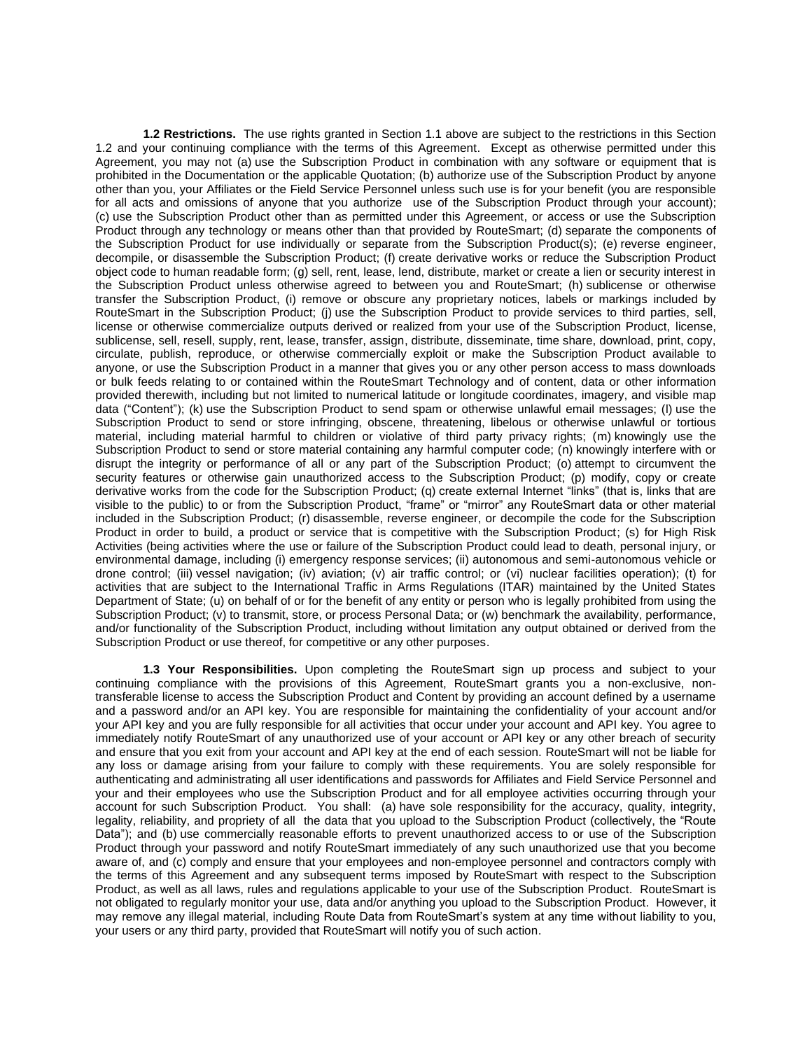**1.2 Restrictions.** The use rights granted in Section 1.1 above are subject to the restrictions in this Section 1.2 and your continuing compliance with the terms of this Agreement. Except as otherwise permitted under this Agreement, you may not (a) use the Subscription Product in combination with any software or equipment that is prohibited in the Documentation or the applicable Quotation; (b) authorize use of the Subscription Product by anyone other than you, your Affiliates or the Field Service Personnel unless such use is for your benefit (you are responsible for all acts and omissions of anyone that you authorize use of the Subscription Product through your account); (c) use the Subscription Product other than as permitted under this Agreement, or access or use the Subscription Product through any technology or means other than that provided by RouteSmart; (d) separate the components of the Subscription Product for use individually or separate from the Subscription Product(s); (e) reverse engineer, decompile, or disassemble the Subscription Product; (f) create derivative works or reduce the Subscription Product object code to human readable form; (g) sell, rent, lease, lend, distribute, market or create a lien or security interest in the Subscription Product unless otherwise agreed to between you and RouteSmart; (h) sublicense or otherwise transfer the Subscription Product, (i) remove or obscure any proprietary notices, labels or markings included by RouteSmart in the Subscription Product; (j) use the Subscription Product to provide services to third parties, sell, license or otherwise commercialize outputs derived or realized from your use of the Subscription Product, license, sublicense, sell, resell, supply, rent, lease, transfer, assign, distribute, disseminate, time share, download, print, copy, circulate, publish, reproduce, or otherwise commercially exploit or make the Subscription Product available to anyone, or use the Subscription Product in a manner that gives you or any other person access to mass downloads or bulk feeds relating to or contained within the RouteSmart Technology and of content, data or other information provided therewith, including but not limited to numerical latitude or longitude coordinates, imagery, and visible map data ("Content"); (k) use the Subscription Product to send spam or otherwise unlawful email messages; (l) use the Subscription Product to send or store infringing, obscene, threatening, libelous or otherwise unlawful or tortious material, including material harmful to children or violative of third party privacy rights; (m) knowingly use the Subscription Product to send or store material containing any harmful computer code; (n) knowingly interfere with or disrupt the integrity or performance of all or any part of the Subscription Product; (o) attempt to circumvent the security features or otherwise gain unauthorized access to the Subscription Product; (p) modify, copy or create derivative works from the code for the Subscription Product; (q) create external Internet "links" (that is, links that are visible to the public) to or from the Subscription Product, "frame" or "mirror" any RouteSmart data or other material included in the Subscription Product; (r) disassemble, reverse engineer, or decompile the code for the Subscription Product in order to build, a product or service that is competitive with the Subscription Product; (s) for High Risk Activities (being activities where the use or failure of the Subscription Product could lead to death, personal injury, or environmental damage, including (i) emergency response services; (ii) autonomous and semi-autonomous vehicle or drone control; (iii) vessel navigation; (iv) aviation; (v) air traffic control; or (vi) nuclear facilities operation); (t) for activities that are subject to the International Traffic in Arms Regulations (ITAR) maintained by the United States Department of State; (u) on behalf of or for the benefit of any entity or person who is legally prohibited from using the Subscription Product; (v) to transmit, store, or process Personal Data; or (w) benchmark the availability, performance, and/or functionality of the Subscription Product, including without limitation any output obtained or derived from the Subscription Product or use thereof, for competitive or any other purposes.

**1.3 Your Responsibilities.** Upon completing the RouteSmart sign up process and subject to your continuing compliance with the provisions of this Agreement, RouteSmart grants you a non-exclusive, nontransferable license to access the Subscription Product and Content by providing an account defined by a username and a password and/or an API key. You are responsible for maintaining the confidentiality of your account and/or your API key and you are fully responsible for all activities that occur under your account and API key. You agree to immediately notify RouteSmart of any unauthorized use of your account or API key or any other breach of security and ensure that you exit from your account and API key at the end of each session. RouteSmart will not be liable for any loss or damage arising from your failure to comply with these requirements. You are solely responsible for authenticating and administrating all user identifications and passwords for Affiliates and Field Service Personnel and your and their employees who use the Subscription Product and for all employee activities occurring through your account for such Subscription Product. You shall: (a) have sole responsibility for the accuracy, quality, integrity, legality, reliability, and propriety of all the data that you upload to the Subscription Product (collectively, the "Route Data"); and (b) use commercially reasonable efforts to prevent unauthorized access to or use of the Subscription Product through your password and notify RouteSmart immediately of any such unauthorized use that you become aware of, and (c) comply and ensure that your employees and non-employee personnel and contractors comply with the terms of this Agreement and any subsequent terms imposed by RouteSmart with respect to the Subscription Product, as well as all laws, rules and regulations applicable to your use of the Subscription Product. RouteSmart is not obligated to regularly monitor your use, data and/or anything you upload to the Subscription Product. However, it may remove any illegal material, including Route Data from RouteSmart's system at any time without liability to you, your users or any third party, provided that RouteSmart will notify you of such action.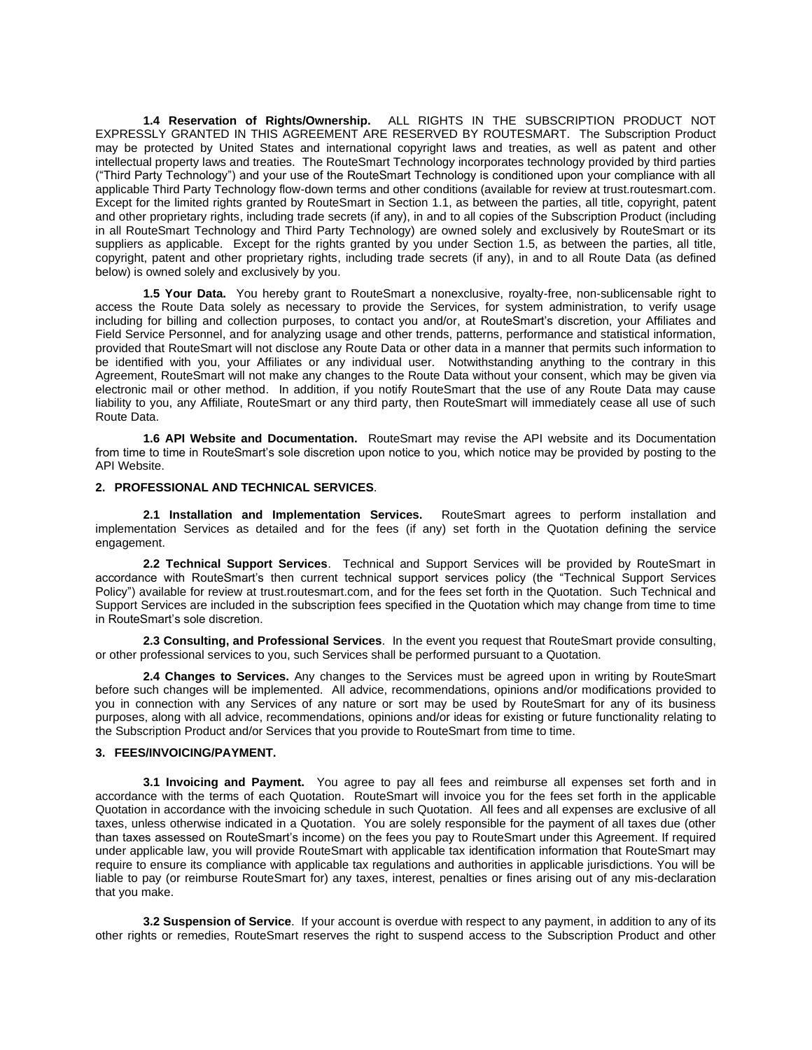**1.4 Reservation of Rights/Ownership.** ALL RIGHTS IN THE SUBSCRIPTION PRODUCT NOT EXPRESSLY GRANTED IN THIS AGREEMENT ARE RESERVED BY ROUTESMART. The Subscription Product may be protected by United States and international copyright laws and treaties, as well as patent and other intellectual property laws and treaties. The RouteSmart Technology incorporates technology provided by third parties ("Third Party Technology") and your use of the RouteSmart Technology is conditioned upon your compliance with all applicable Third Party Technology flow-down terms and other conditions (available for review at trust.routesmart.com. Except for the limited rights granted by RouteSmart in Section 1.1, as between the parties, all title, copyright, patent and other proprietary rights, including trade secrets (if any), in and to all copies of the Subscription Product (including in all RouteSmart Technology and Third Party Technology) are owned solely and exclusively by RouteSmart or its suppliers as applicable. Except for the rights granted by you under Section 1.5, as between the parties, all title, copyright, patent and other proprietary rights, including trade secrets (if any), in and to all Route Data (as defined below) is owned solely and exclusively by you.

**1.5 Your Data.** You hereby grant to RouteSmart a nonexclusive, royalty-free, non-sublicensable right to access the Route Data solely as necessary to provide the Services, for system administration, to verify usage including for billing and collection purposes, to contact you and/or, at RouteSmart's discretion, your Affiliates and Field Service Personnel, and for analyzing usage and other trends, patterns, performance and statistical information, provided that RouteSmart will not disclose any Route Data or other data in a manner that permits such information to be identified with you, your Affiliates or any individual user. Notwithstanding anything to the contrary in this Agreement, RouteSmart will not make any changes to the Route Data without your consent, which may be given via electronic mail or other method. In addition, if you notify RouteSmart that the use of any Route Data may cause liability to you, any Affiliate, RouteSmart or any third party, then RouteSmart will immediately cease all use of such Route Data.

**1.6 API Website and Documentation.** RouteSmart may revise the API website and its Documentation from time to time in RouteSmart's sole discretion upon notice to you, which notice may be provided by posting to the API Website.

# **2. PROFESSIONAL AND TECHNICAL SERVICES**.

**2.1 Installation and Implementation Services.** RouteSmart agrees to perform installation and implementation Services as detailed and for the fees (if any) set forth in the Quotation defining the service engagement.

**2.2 Technical Support Services**. Technical and Support Services will be provided by RouteSmart in accordance with RouteSmart's then current technical support services policy (the "Technical Support Services Policy") available for review at trust.routesmart.com, and for the fees set forth in the Quotation. Such Technical and Support Services are included in the subscription fees specified in the Quotation which may change from time to time in RouteSmart's sole discretion.

**2.3 Consulting, and Professional Services**. In the event you request that RouteSmart provide consulting, or other professional services to you, such Services shall be performed pursuant to a Quotation.

**2.4 Changes to Services.** Any changes to the Services must be agreed upon in writing by RouteSmart before such changes will be implemented. All advice, recommendations, opinions and/or modifications provided to you in connection with any Services of any nature or sort may be used by RouteSmart for any of its business purposes, along with all advice, recommendations, opinions and/or ideas for existing or future functionality relating to the Subscription Product and/or Services that you provide to RouteSmart from time to time.

### **3. FEES/INVOICING/PAYMENT.**

**3.1 Invoicing and Payment.** You agree to pay all fees and reimburse all expenses set forth and in accordance with the terms of each Quotation. RouteSmart will invoice you for the fees set forth in the applicable Quotation in accordance with the invoicing schedule in such Quotation. All fees and all expenses are exclusive of all taxes, unless otherwise indicated in a Quotation. You are solely responsible for the payment of all taxes due (other than taxes assessed on RouteSmart's income) on the fees you pay to RouteSmart under this Agreement. If required under applicable law, you will provide RouteSmart with applicable tax identification information that RouteSmart may require to ensure its compliance with applicable tax regulations and authorities in applicable jurisdictions. You will be liable to pay (or reimburse RouteSmart for) any taxes, interest, penalties or fines arising out of any mis-declaration that you make.

**3.2 Suspension of Service**. If your account is overdue with respect to any payment, in addition to any of its other rights or remedies, RouteSmart reserves the right to suspend access to the Subscription Product and other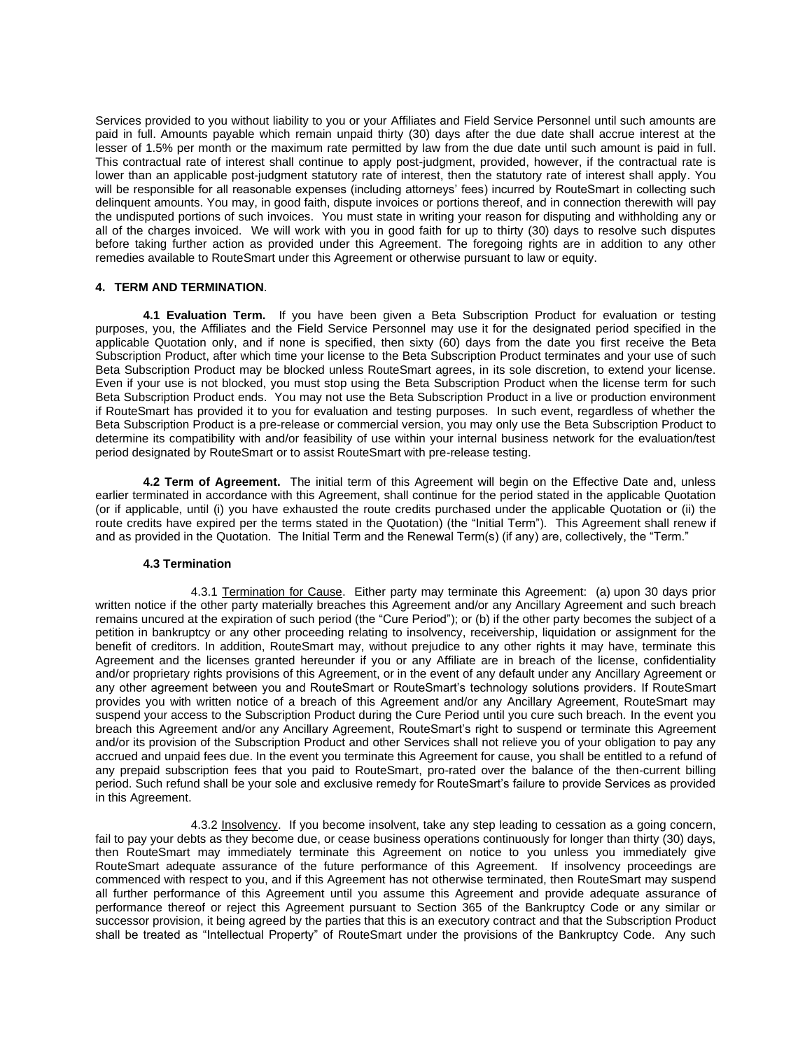Services provided to you without liability to you or your Affiliates and Field Service Personnel until such amounts are paid in full. Amounts payable which remain unpaid thirty (30) days after the due date shall accrue interest at the lesser of 1.5% per month or the maximum rate permitted by law from the due date until such amount is paid in full. This contractual rate of interest shall continue to apply post-judgment, provided, however, if the contractual rate is lower than an applicable post-judgment statutory rate of interest, then the statutory rate of interest shall apply. You will be responsible for all reasonable expenses (including attorneys' fees) incurred by RouteSmart in collecting such delinquent amounts. You may, in good faith, dispute invoices or portions thereof, and in connection therewith will pay the undisputed portions of such invoices. You must state in writing your reason for disputing and withholding any or all of the charges invoiced. We will work with you in good faith for up to thirty (30) days to resolve such disputes before taking further action as provided under this Agreement. The foregoing rights are in addition to any other remedies available to RouteSmart under this Agreement or otherwise pursuant to law or equity.

# **4. TERM AND TERMINATION**.

**4.1 Evaluation Term.** If you have been given a Beta Subscription Product for evaluation or testing purposes, you, the Affiliates and the Field Service Personnel may use it for the designated period specified in the applicable Quotation only, and if none is specified, then sixty (60) days from the date you first receive the Beta Subscription Product, after which time your license to the Beta Subscription Product terminates and your use of such Beta Subscription Product may be blocked unless RouteSmart agrees, in its sole discretion, to extend your license. Even if your use is not blocked, you must stop using the Beta Subscription Product when the license term for such Beta Subscription Product ends. You may not use the Beta Subscription Product in a live or production environment if RouteSmart has provided it to you for evaluation and testing purposes. In such event, regardless of whether the Beta Subscription Product is a pre-release or commercial version, you may only use the Beta Subscription Product to determine its compatibility with and/or feasibility of use within your internal business network for the evaluation/test period designated by RouteSmart or to assist RouteSmart with pre-release testing.

**4.2 Term of Agreement.** The initial term of this Agreement will begin on the Effective Date and, unless earlier terminated in accordance with this Agreement, shall continue for the period stated in the applicable Quotation (or if applicable, until (i) you have exhausted the route credits purchased under the applicable Quotation or (ii) the route credits have expired per the terms stated in the Quotation) (the "Initial Term"). This Agreement shall renew if and as provided in the Quotation. The Initial Term and the Renewal Term(s) (if any) are, collectively, the "Term."

### **4.3 Termination**

4.3.1 Termination for Cause. Either party may terminate this Agreement: (a) upon 30 days prior written notice if the other party materially breaches this Agreement and/or any Ancillary Agreement and such breach remains uncured at the expiration of such period (the "Cure Period"); or (b) if the other party becomes the subject of a petition in bankruptcy or any other proceeding relating to insolvency, receivership, liquidation or assignment for the benefit of creditors. In addition, RouteSmart may, without prejudice to any other rights it may have, terminate this Agreement and the licenses granted hereunder if you or any Affiliate are in breach of the license, confidentiality and/or proprietary rights provisions of this Agreement, or in the event of any default under any Ancillary Agreement or any other agreement between you and RouteSmart or RouteSmart's technology solutions providers. If RouteSmart provides you with written notice of a breach of this Agreement and/or any Ancillary Agreement, RouteSmart may suspend your access to the Subscription Product during the Cure Period until you cure such breach. In the event you breach this Agreement and/or any Ancillary Agreement, RouteSmart's right to suspend or terminate this Agreement and/or its provision of the Subscription Product and other Services shall not relieve you of your obligation to pay any accrued and unpaid fees due. In the event you terminate this Agreement for cause, you shall be entitled to a refund of any prepaid subscription fees that you paid to RouteSmart, pro-rated over the balance of the then-current billing period. Such refund shall be your sole and exclusive remedy for RouteSmart's failure to provide Services as provided in this Agreement.

4.3.2 Insolvency. If you become insolvent, take any step leading to cessation as a going concern, fail to pay your debts as they become due, or cease business operations continuously for longer than thirty (30) days, then RouteSmart may immediately terminate this Agreement on notice to you unless you immediately give RouteSmart adequate assurance of the future performance of this Agreement. If insolvency proceedings are commenced with respect to you, and if this Agreement has not otherwise terminated, then RouteSmart may suspend all further performance of this Agreement until you assume this Agreement and provide adequate assurance of performance thereof or reject this Agreement pursuant to Section 365 of the Bankruptcy Code or any similar or successor provision, it being agreed by the parties that this is an executory contract and that the Subscription Product shall be treated as "Intellectual Property" of RouteSmart under the provisions of the Bankruptcy Code. Any such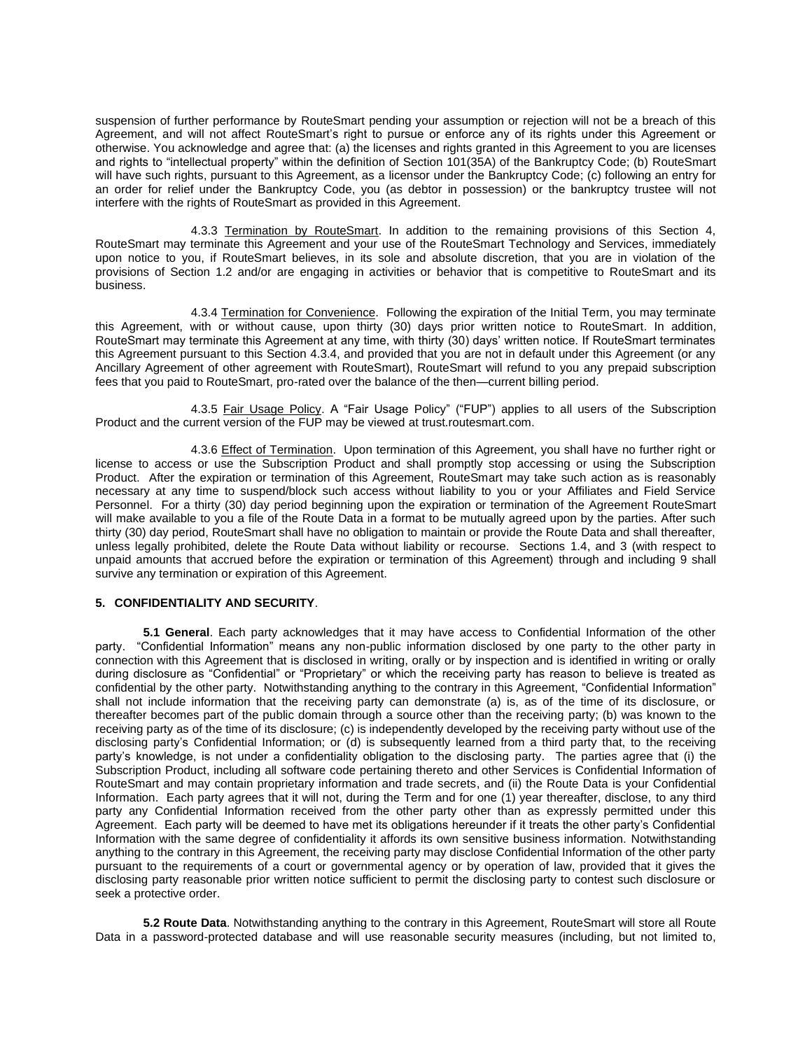suspension of further performance by RouteSmart pending your assumption or rejection will not be a breach of this Agreement, and will not affect RouteSmart's right to pursue or enforce any of its rights under this Agreement or otherwise. You acknowledge and agree that: (a) the licenses and rights granted in this Agreement to you are licenses and rights to "intellectual property" within the definition of Section 101(35A) of the Bankruptcy Code; (b) RouteSmart will have such rights, pursuant to this Agreement, as a licensor under the Bankruptcy Code; (c) following an entry for an order for relief under the Bankruptcy Code, you (as debtor in possession) or the bankruptcy trustee will not interfere with the rights of RouteSmart as provided in this Agreement.

4.3.3 Termination by RouteSmart. In addition to the remaining provisions of this Section 4, RouteSmart may terminate this Agreement and your use of the RouteSmart Technology and Services, immediately upon notice to you, if RouteSmart believes, in its sole and absolute discretion, that you are in violation of the provisions of Section 1.2 and/or are engaging in activities or behavior that is competitive to RouteSmart and its business.

4.3.4 Termination for Convenience. Following the expiration of the Initial Term, you may terminate this Agreement, with or without cause, upon thirty (30) days prior written notice to RouteSmart. In addition, RouteSmart may terminate this Agreement at any time, with thirty (30) days' written notice. If RouteSmart terminates this Agreement pursuant to this Section 4.3.4, and provided that you are not in default under this Agreement (or any Ancillary Agreement of other agreement with RouteSmart), RouteSmart will refund to you any prepaid subscription fees that you paid to RouteSmart, pro-rated over the balance of the then—current billing period.

4.3.5 Fair Usage Policy. A "Fair Usage Policy" ("FUP") applies to all users of the Subscription Product and the current version of the FUP may be viewed at trust.routesmart.com.

4.3.6 Effect of Termination. Upon termination of this Agreement, you shall have no further right or license to access or use the Subscription Product and shall promptly stop accessing or using the Subscription Product. After the expiration or termination of this Agreement, RouteSmart may take such action as is reasonably necessary at any time to suspend/block such access without liability to you or your Affiliates and Field Service Personnel. For a thirty (30) day period beginning upon the expiration or termination of the Agreement RouteSmart will make available to you a file of the Route Data in a format to be mutually agreed upon by the parties. After such thirty (30) day period, RouteSmart shall have no obligation to maintain or provide the Route Data and shall thereafter, unless legally prohibited, delete the Route Data without liability or recourse. Sections 1.4, and 3 (with respect to unpaid amounts that accrued before the expiration or termination of this Agreement) through and including 9 shall survive any termination or expiration of this Agreement.

# **5. CONFIDENTIALITY AND SECURITY**.

**5.1 General**. Each party acknowledges that it may have access to Confidential Information of the other party. "Confidential Information" means any non-public information disclosed by one party to the other party in connection with this Agreement that is disclosed in writing, orally or by inspection and is identified in writing or orally during disclosure as "Confidential" or "Proprietary" or which the receiving party has reason to believe is treated as confidential by the other party. Notwithstanding anything to the contrary in this Agreement, "Confidential Information" shall not include information that the receiving party can demonstrate (a) is, as of the time of its disclosure, or thereafter becomes part of the public domain through a source other than the receiving party; (b) was known to the receiving party as of the time of its disclosure; (c) is independently developed by the receiving party without use of the disclosing party's Confidential Information; or (d) is subsequently learned from a third party that, to the receiving party's knowledge, is not under a confidentiality obligation to the disclosing party. The parties agree that (i) the Subscription Product, including all software code pertaining thereto and other Services is Confidential Information of RouteSmart and may contain proprietary information and trade secrets, and (ii) the Route Data is your Confidential Information. Each party agrees that it will not, during the Term and for one (1) year thereafter, disclose, to any third party any Confidential Information received from the other party other than as expressly permitted under this Agreement. Each party will be deemed to have met its obligations hereunder if it treats the other party's Confidential Information with the same degree of confidentiality it affords its own sensitive business information. Notwithstanding anything to the contrary in this Agreement, the receiving party may disclose Confidential Information of the other party pursuant to the requirements of a court or governmental agency or by operation of law, provided that it gives the disclosing party reasonable prior written notice sufficient to permit the disclosing party to contest such disclosure or seek a protective order.

**5.2 Route Data**. Notwithstanding anything to the contrary in this Agreement, RouteSmart will store all Route Data in a password-protected database and will use reasonable security measures (including, but not limited to,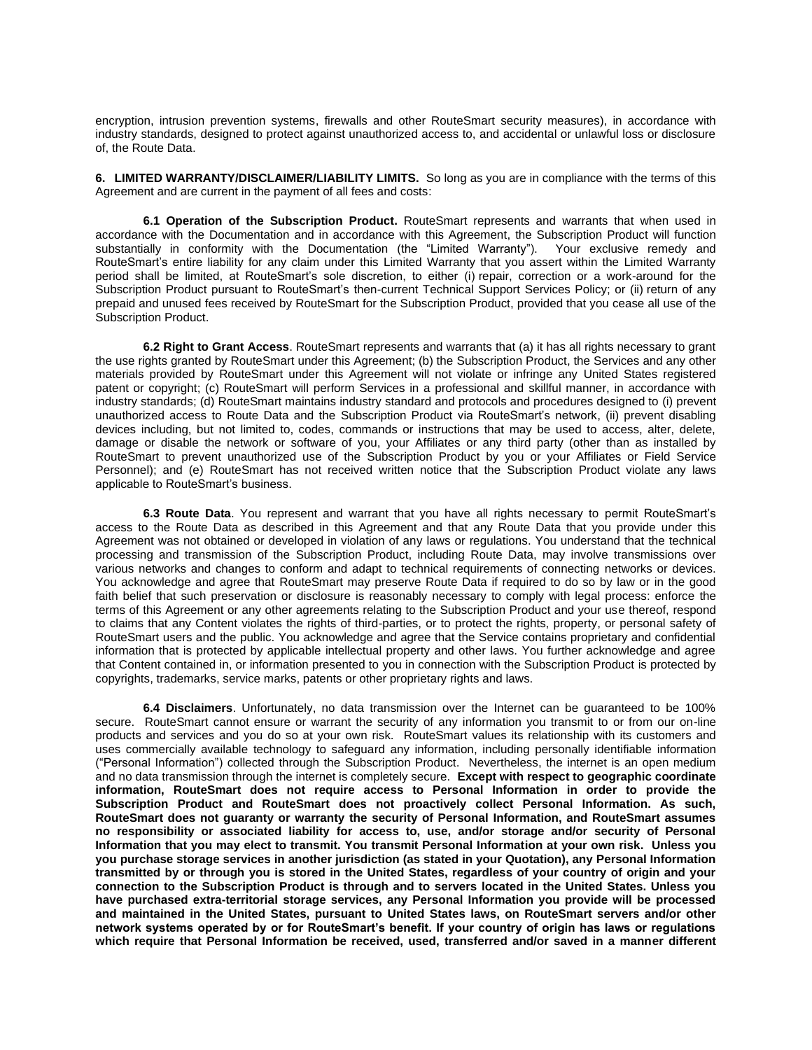encryption, intrusion prevention systems, firewalls and other RouteSmart security measures), in accordance with industry standards, designed to protect against unauthorized access to, and accidental or unlawful loss or disclosure of, the Route Data.

**6. LIMITED WARRANTY/DISCLAIMER/LIABILITY LIMITS.** So long as you are in compliance with the terms of this Agreement and are current in the payment of all fees and costs:

**6.1 Operation of the Subscription Product.** RouteSmart represents and warrants that when used in accordance with the Documentation and in accordance with this Agreement, the Subscription Product will function substantially in conformity with the Documentation (the "Limited Warranty"). Your exclusive remedy and RouteSmart's entire liability for any claim under this Limited Warranty that you assert within the Limited Warranty period shall be limited, at RouteSmart's sole discretion, to either (i) repair, correction or a work-around for the Subscription Product pursuant to RouteSmart's then-current Technical Support Services Policy; or (ii) return of any prepaid and unused fees received by RouteSmart for the Subscription Product, provided that you cease all use of the Subscription Product.

**6.2 Right to Grant Access**. RouteSmart represents and warrants that (a) it has all rights necessary to grant the use rights granted by RouteSmart under this Agreement; (b) the Subscription Product, the Services and any other materials provided by RouteSmart under this Agreement will not violate or infringe any United States registered patent or copyright; (c) RouteSmart will perform Services in a professional and skillful manner, in accordance with industry standards; (d) RouteSmart maintains industry standard and protocols and procedures designed to (i) prevent unauthorized access to Route Data and the Subscription Product via RouteSmart's network, (ii) prevent disabling devices including, but not limited to, codes, commands or instructions that may be used to access, alter, delete, damage or disable the network or software of you, your Affiliates or any third party (other than as installed by RouteSmart to prevent unauthorized use of the Subscription Product by you or your Affiliates or Field Service Personnel); and (e) RouteSmart has not received written notice that the Subscription Product violate any laws applicable to RouteSmart's business.

**6.3 Route Data**. You represent and warrant that you have all rights necessary to permit RouteSmart's access to the Route Data as described in this Agreement and that any Route Data that you provide under this Agreement was not obtained or developed in violation of any laws or regulations. You understand that the technical processing and transmission of the Subscription Product, including Route Data, may involve transmissions over various networks and changes to conform and adapt to technical requirements of connecting networks or devices. You acknowledge and agree that RouteSmart may preserve Route Data if required to do so by law or in the good faith belief that such preservation or disclosure is reasonably necessary to comply with legal process: enforce the terms of this Agreement or any other agreements relating to the Subscription Product and your use thereof, respond to claims that any Content violates the rights of third-parties, or to protect the rights, property, or personal safety of RouteSmart users and the public. You acknowledge and agree that the Service contains proprietary and confidential information that is protected by applicable intellectual property and other laws. You further acknowledge and agree that Content contained in, or information presented to you in connection with the Subscription Product is protected by copyrights, trademarks, service marks, patents or other proprietary rights and laws.

**6.4 Disclaimers**. Unfortunately, no data transmission over the Internet can be guaranteed to be 100% secure. RouteSmart cannot ensure or warrant the security of any information you transmit to or from our on-line products and services and you do so at your own risk. RouteSmart values its relationship with its customers and uses commercially available technology to safeguard any information, including personally identifiable information ("Personal Information") collected through the Subscription Product. Nevertheless, the internet is an open medium and no data transmission through the internet is completely secure. **Except with respect to geographic coordinate information, RouteSmart does not require access to Personal Information in order to provide the Subscription Product and RouteSmart does not proactively collect Personal Information. As such, RouteSmart does not guaranty or warranty the security of Personal Information, and RouteSmart assumes no responsibility or associated liability for access to, use, and/or storage and/or security of Personal Information that you may elect to transmit. You transmit Personal Information at your own risk. Unless you you purchase storage services in another jurisdiction (as stated in your Quotation), any Personal Information transmitted by or through you is stored in the United States, regardless of your country of origin and your connection to the Subscription Product is through and to servers located in the United States. Unless you have purchased extra-territorial storage services, any Personal Information you provide will be processed and maintained in the United States, pursuant to United States laws, on RouteSmart servers and/or other network systems operated by or for RouteSmart's benefit. If your country of origin has laws or regulations which require that Personal Information be received, used, transferred and/or saved in a manner different**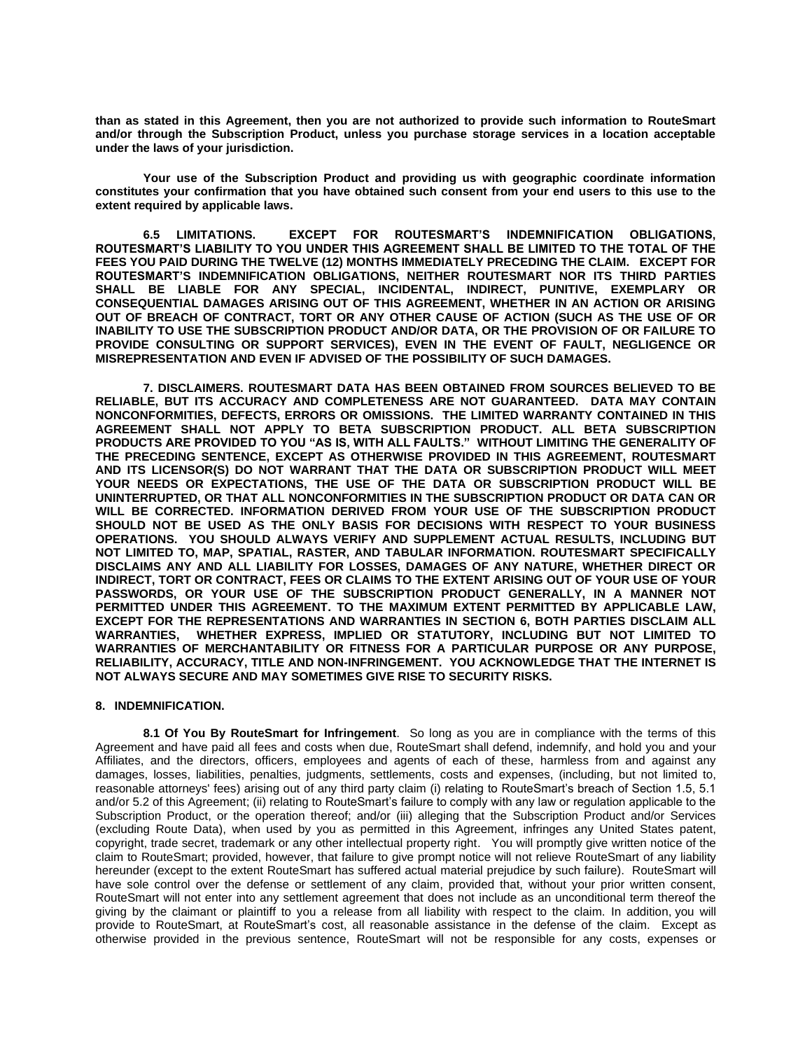**than as stated in this Agreement, then you are not authorized to provide such information to RouteSmart and/or through the Subscription Product, unless you purchase storage services in a location acceptable under the laws of your jurisdiction.**

**Your use of the Subscription Product and providing us with geographic coordinate information constitutes your confirmation that you have obtained such consent from your end users to this use to the extent required by applicable laws.** 

**6.5 LIMITATIONS. EXCEPT FOR ROUTESMART'S INDEMNIFICATION OBLIGATIONS, ROUTESMART'S LIABILITY TO YOU UNDER THIS AGREEMENT SHALL BE LIMITED TO THE TOTAL OF THE FEES YOU PAID DURING THE TWELVE (12) MONTHS IMMEDIATELY PRECEDING THE CLAIM. EXCEPT FOR ROUTESMART'S INDEMNIFICATION OBLIGATIONS, NEITHER ROUTESMART NOR ITS THIRD PARTIES SHALL BE LIABLE FOR ANY SPECIAL, INCIDENTAL, INDIRECT, PUNITIVE, EXEMPLARY OR CONSEQUENTIAL DAMAGES ARISING OUT OF THIS AGREEMENT, WHETHER IN AN ACTION OR ARISING OUT OF BREACH OF CONTRACT, TORT OR ANY OTHER CAUSE OF ACTION (SUCH AS THE USE OF OR INABILITY TO USE THE SUBSCRIPTION PRODUCT AND/OR DATA, OR THE PROVISION OF OR FAILURE TO PROVIDE CONSULTING OR SUPPORT SERVICES), EVEN IN THE EVENT OF FAULT, NEGLIGENCE OR MISREPRESENTATION AND EVEN IF ADVISED OF THE POSSIBILITY OF SUCH DAMAGES.** 

**7. DISCLAIMERS. ROUTESMART DATA HAS BEEN OBTAINED FROM SOURCES BELIEVED TO BE RELIABLE, BUT ITS ACCURACY AND COMPLETENESS ARE NOT GUARANTEED. DATA MAY CONTAIN NONCONFORMITIES, DEFECTS, ERRORS OR OMISSIONS. THE LIMITED WARRANTY CONTAINED IN THIS AGREEMENT SHALL NOT APPLY TO BETA SUBSCRIPTION PRODUCT. ALL BETA SUBSCRIPTION PRODUCTS ARE PROVIDED TO YOU "AS IS, WITH ALL FAULTS." WITHOUT LIMITING THE GENERALITY OF THE PRECEDING SENTENCE, EXCEPT AS OTHERWISE PROVIDED IN THIS AGREEMENT, ROUTESMART AND ITS LICENSOR(S) DO NOT WARRANT THAT THE DATA OR SUBSCRIPTION PRODUCT WILL MEET YOUR NEEDS OR EXPECTATIONS, THE USE OF THE DATA OR SUBSCRIPTION PRODUCT WILL BE UNINTERRUPTED, OR THAT ALL NONCONFORMITIES IN THE SUBSCRIPTION PRODUCT OR DATA CAN OR WILL BE CORRECTED. INFORMATION DERIVED FROM YOUR USE OF THE SUBSCRIPTION PRODUCT SHOULD NOT BE USED AS THE ONLY BASIS FOR DECISIONS WITH RESPECT TO YOUR BUSINESS OPERATIONS. YOU SHOULD ALWAYS VERIFY AND SUPPLEMENT ACTUAL RESULTS, INCLUDING BUT NOT LIMITED TO, MAP, SPATIAL, RASTER, AND TABULAR INFORMATION. ROUTESMART SPECIFICALLY DISCLAIMS ANY AND ALL LIABILITY FOR LOSSES, DAMAGES OF ANY NATURE, WHETHER DIRECT OR INDIRECT, TORT OR CONTRACT, FEES OR CLAIMS TO THE EXTENT ARISING OUT OF YOUR USE OF YOUR PASSWORDS, OR YOUR USE OF THE SUBSCRIPTION PRODUCT GENERALLY, IN A MANNER NOT PERMITTED UNDER THIS AGREEMENT. TO THE MAXIMUM EXTENT PERMITTED BY APPLICABLE LAW, EXCEPT FOR THE REPRESENTATIONS AND WARRANTIES IN SECTION 6, BOTH PARTIES DISCLAIM ALL WARRANTIES, WHETHER EXPRESS, IMPLIED OR STATUTORY, INCLUDING BUT NOT LIMITED TO WARRANTIES OF MERCHANTABILITY OR FITNESS FOR A PARTICULAR PURPOSE OR ANY PURPOSE, RELIABILITY, ACCURACY, TITLE AND NON-INFRINGEMENT. YOU ACKNOWLEDGE THAT THE INTERNET IS NOT ALWAYS SECURE AND MAY SOMETIMES GIVE RISE TO SECURITY RISKS.** 

### **8. INDEMNIFICATION.**

**8.1 Of You By RouteSmart for Infringement**. So long as you are in compliance with the terms of this Agreement and have paid all fees and costs when due, RouteSmart shall defend, indemnify, and hold you and your Affiliates, and the directors, officers, employees and agents of each of these, harmless from and against any damages, losses, liabilities, penalties, judgments, settlements, costs and expenses, (including, but not limited to, reasonable attorneys' fees) arising out of any third party claim (i) relating to RouteSmart's breach of Section 1.5, 5.1 and/or 5.2 of this Agreement; (ii) relating to RouteSmart's failure to comply with any law or regulation applicable to the Subscription Product, or the operation thereof; and/or (iii) alleging that the Subscription Product and/or Services (excluding Route Data), when used by you as permitted in this Agreement, infringes any United States patent, copyright, trade secret, trademark or any other intellectual property right. You will promptly give written notice of the claim to RouteSmart; provided, however, that failure to give prompt notice will not relieve RouteSmart of any liability hereunder (except to the extent RouteSmart has suffered actual material prejudice by such failure). RouteSmart will have sole control over the defense or settlement of any claim, provided that, without your prior written consent, RouteSmart will not enter into any settlement agreement that does not include as an unconditional term thereof the giving by the claimant or plaintiff to you a release from all liability with respect to the claim. In addition, you will provide to RouteSmart, at RouteSmart's cost, all reasonable assistance in the defense of the claim. Except as otherwise provided in the previous sentence, RouteSmart will not be responsible for any costs, expenses or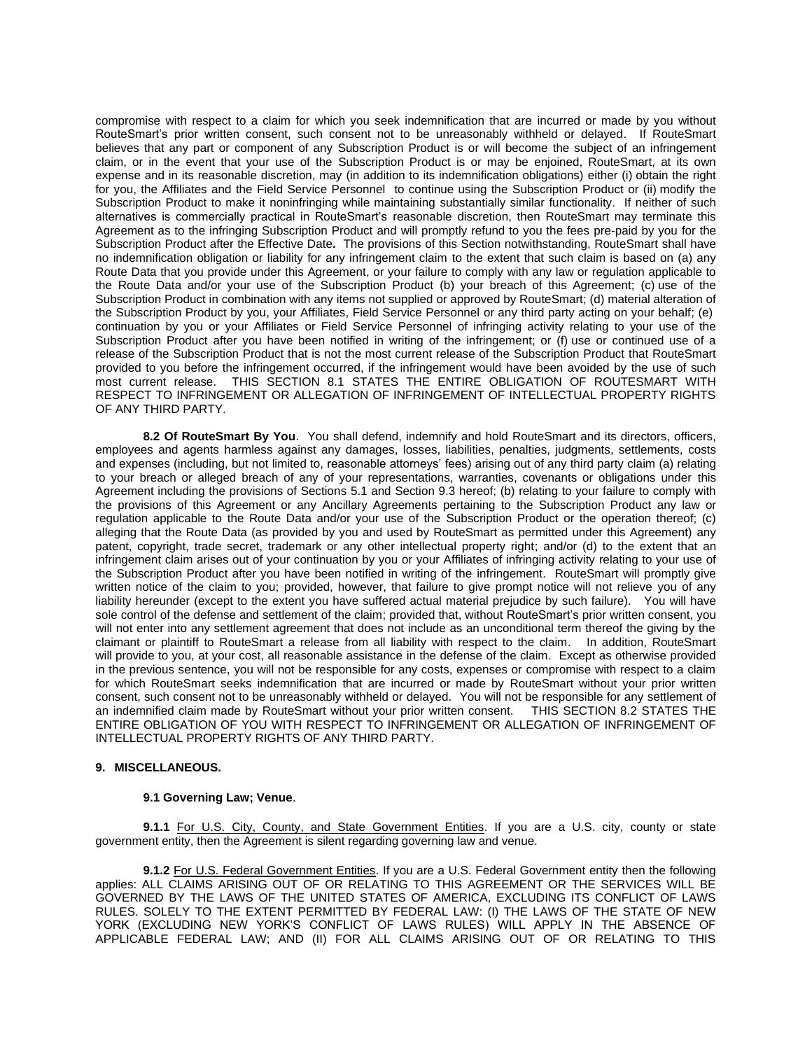compromise with respect to a claim for which you seek indemnification that are incurred or made by you without RouteSmart's prior written consent, such consent not to be unreasonably withheld or delayed. If RouteSmart believes that any part or component of any Subscription Product is or will become the subject of an infringement claim, or in the event that your use of the Subscription Product is or may be enjoined, RouteSmart, at its own expense and in its reasonable discretion, may (in addition to its indemnification obligations) either (i) obtain the right for you, the Affiliates and the Field Service Personnel to continue using the Subscription Product or (ii) modify the Subscription Product to make it noninfringing while maintaining substantially similar functionality. If neither of such alternatives is commercially practical in RouteSmart's reasonable discretion, then RouteSmart may terminate this Agreement as to the infringing Subscription Product and will promptly refund to you the fees pre-paid by you for the Subscription Product after the Effective Date**.** The provisions of this Section notwithstanding, RouteSmart shall have no indemnification obligation or liability for any infringement claim to the extent that such claim is based on (a) any Route Data that you provide under this Agreement, or your failure to comply with any law or regulation applicable to the Route Data and/or your use of the Subscription Product (b) your breach of this Agreement; (c) use of the Subscription Product in combination with any items not supplied or approved by RouteSmart; (d) material alteration of the Subscription Product by you, your Affiliates, Field Service Personnel or any third party acting on your behalf; (e) continuation by you or your Affiliates or Field Service Personnel of infringing activity relating to your use of the Subscription Product after you have been notified in writing of the infringement; or (f) use or continued use of a release of the Subscription Product that is not the most current release of the Subscription Product that RouteSmart provided to you before the infringement occurred, if the infringement would have been avoided by the use of such most current release. THIS SECTION 8.1 STATES THE ENTIRE OBLIGATION OF ROUTESMART WITH RESPECT TO INFRINGEMENT OR ALLEGATION OF INFRINGEMENT OF INTELLECTUAL PROPERTY RIGHTS OF ANY THIRD PARTY.

**8.2 Of RouteSmart By You**. You shall defend, indemnify and hold RouteSmart and its directors, officers, employees and agents harmless against any damages, losses, liabilities, penalties, judgments, settlements, costs and expenses (including, but not limited to, reasonable attorneys' fees) arising out of any third party claim (a) relating to your breach or alleged breach of any of your representations, warranties, covenants or obligations under this Agreement including the provisions of Sections 5.1 and Section 9.3 hereof; (b) relating to your failure to comply with the provisions of this Agreement or any Ancillary Agreements pertaining to the Subscription Product any law or regulation applicable to the Route Data and/or your use of the Subscription Product or the operation thereof; (c) alleging that the Route Data (as provided by you and used by RouteSmart as permitted under this Agreement) any patent, copyright, trade secret, trademark or any other intellectual property right; and/or (d) to the extent that an infringement claim arises out of your continuation by you or your Affiliates of infringing activity relating to your use of the Subscription Product after you have been notified in writing of the infringement. RouteSmart will promptly give written notice of the claim to you; provided, however, that failure to give prompt notice will not relieve you of any liability hereunder (except to the extent you have suffered actual material prejudice by such failure). You will have sole control of the defense and settlement of the claim; provided that, without RouteSmart's prior written consent, you will not enter into any settlement agreement that does not include as an unconditional term thereof the giving by the claimant or plaintiff to RouteSmart a release from all liability with respect to the claim. In addition, RouteSmart will provide to you, at your cost, all reasonable assistance in the defense of the claim. Except as otherwise provided in the previous sentence, you will not be responsible for any costs, expenses or compromise with respect to a claim for which RouteSmart seeks indemnification that are incurred or made by RouteSmart without your prior written consent, such consent not to be unreasonably withheld or delayed. You will not be responsible for any settlement of an indemnified claim made by RouteSmart without your prior written consent. THIS SECTION 8.2 STATES THE ENTIRE OBLIGATION OF YOU WITH RESPECT TO INFRINGEMENT OR ALLEGATION OF INFRINGEMENT OF INTELLECTUAL PROPERTY RIGHTS OF ANY THIRD PARTY.

# **9. MISCELLANEOUS.**

## **9.1 Governing Law; Venue**.

**9.1.1** For U.S. City, County, and State Government Entities. If you are a U.S. city, county or state government entity, then the Agreement is silent regarding governing law and venue.

**9.1.2** For U.S. Federal Government Entities. If you are a U.S. Federal Government entity then the following applies: ALL CLAIMS ARISING OUT OF OR RELATING TO THIS AGREEMENT OR THE SERVICES WILL BE GOVERNED BY THE LAWS OF THE UNITED STATES OF AMERICA, EXCLUDING ITS CONFLICT OF LAWS RULES. SOLELY TO THE EXTENT PERMITTED BY FEDERAL LAW: (I) THE LAWS OF THE STATE OF NEW YORK (EXCLUDING NEW YORK'S CONFLICT OF LAWS RULES) WILL APPLY IN THE ABSENCE OF APPLICABLE FEDERAL LAW; AND (II) FOR ALL CLAIMS ARISING OUT OF OR RELATING TO THIS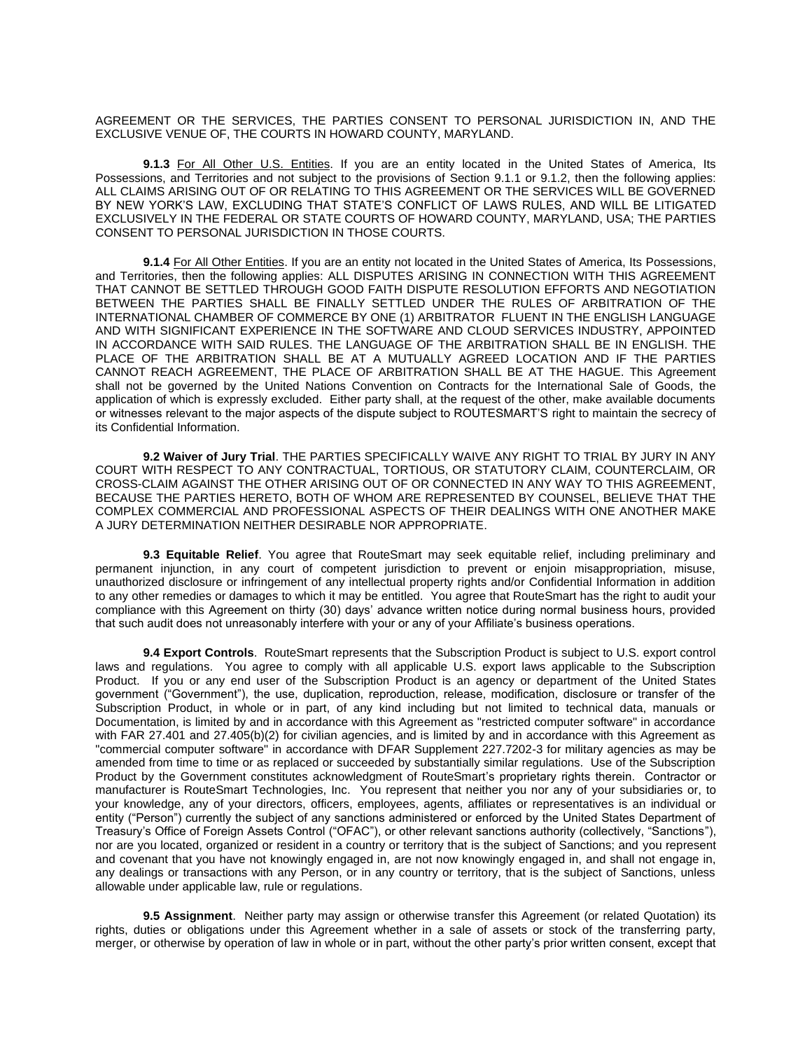AGREEMENT OR THE SERVICES, THE PARTIES CONSENT TO PERSONAL JURISDICTION IN, AND THE EXCLUSIVE VENUE OF, THE COURTS IN HOWARD COUNTY, MARYLAND.

**9.1.3** For All Other U.S. Entities. If you are an entity located in the United States of America, Its Possessions, and Territories and not subject to the provisions of Section 9.1.1 or 9.1.2, then the following applies: ALL CLAIMS ARISING OUT OF OR RELATING TO THIS AGREEMENT OR THE SERVICES WILL BE GOVERNED BY NEW YORK'S LAW, EXCLUDING THAT STATE'S CONFLICT OF LAWS RULES, AND WILL BE LITIGATED EXCLUSIVELY IN THE FEDERAL OR STATE COURTS OF HOWARD COUNTY, MARYLAND, USA; THE PARTIES CONSENT TO PERSONAL JURISDICTION IN THOSE COURTS.

**9.1.4** For All Other Entities. If you are an entity not located in the United States of America, Its Possessions, and Territories, then the following applies: ALL DISPUTES ARISING IN CONNECTION WITH THIS AGREEMENT THAT CANNOT BE SETTLED THROUGH GOOD FAITH DISPUTE RESOLUTION EFFORTS AND NEGOTIATION BETWEEN THE PARTIES SHALL BE FINALLY SETTLED UNDER THE RULES OF ARBITRATION OF THE INTERNATIONAL CHAMBER OF COMMERCE BY ONE (1) ARBITRATOR FLUENT IN THE ENGLISH LANGUAGE AND WITH SIGNIFICANT EXPERIENCE IN THE SOFTWARE AND CLOUD SERVICES INDUSTRY, APPOINTED IN ACCORDANCE WITH SAID RULES. THE LANGUAGE OF THE ARBITRATION SHALL BE IN ENGLISH. THE PLACE OF THE ARBITRATION SHALL BE AT A MUTUALLY AGREED LOCATION AND IF THE PARTIES CANNOT REACH AGREEMENT, THE PLACE OF ARBITRATION SHALL BE AT THE HAGUE. This Agreement shall not be governed by the United Nations Convention on Contracts for the International Sale of Goods, the application of which is expressly excluded. Either party shall, at the request of the other, make available documents or witnesses relevant to the major aspects of the dispute subject to ROUTESMART'S right to maintain the secrecy of its Confidential Information.

**9.2 Waiver of Jury Trial**. THE PARTIES SPECIFICALLY WAIVE ANY RIGHT TO TRIAL BY JURY IN ANY COURT WITH RESPECT TO ANY CONTRACTUAL, TORTIOUS, OR STATUTORY CLAIM, COUNTERCLAIM, OR CROSS-CLAIM AGAINST THE OTHER ARISING OUT OF OR CONNECTED IN ANY WAY TO THIS AGREEMENT, BECAUSE THE PARTIES HERETO, BOTH OF WHOM ARE REPRESENTED BY COUNSEL, BELIEVE THAT THE COMPLEX COMMERCIAL AND PROFESSIONAL ASPECTS OF THEIR DEALINGS WITH ONE ANOTHER MAKE A JURY DETERMINATION NEITHER DESIRABLE NOR APPROPRIATE.

**9.3 Equitable Relief**. You agree that RouteSmart may seek equitable relief, including preliminary and permanent injunction, in any court of competent jurisdiction to prevent or enjoin misappropriation, misuse, unauthorized disclosure or infringement of any intellectual property rights and/or Confidential Information in addition to any other remedies or damages to which it may be entitled. You agree that RouteSmart has the right to audit your compliance with this Agreement on thirty (30) days' advance written notice during normal business hours, provided that such audit does not unreasonably interfere with your or any of your Affiliate's business operations.

**9.4 Export Controls**. RouteSmart represents that the Subscription Product is subject to U.S. export control laws and regulations. You agree to comply with all applicable U.S. export laws applicable to the Subscription Product. If you or any end user of the Subscription Product is an agency or department of the United States government ("Government"), the use, duplication, reproduction, release, modification, disclosure or transfer of the Subscription Product, in whole or in part, of any kind including but not limited to technical data, manuals or Documentation, is limited by and in accordance with this Agreement as "restricted computer software" in accordance with FAR 27.401 and 27.405(b)(2) for civilian agencies, and is limited by and in accordance with this Agreement as "commercial computer software" in accordance with DFAR Supplement 227.7202-3 for military agencies as may be amended from time to time or as replaced or succeeded by substantially similar regulations. Use of the Subscription Product by the Government constitutes acknowledgment of RouteSmart's proprietary rights therein. Contractor or manufacturer is RouteSmart Technologies, Inc. You represent that neither you nor any of your subsidiaries or, to your knowledge, any of your directors, officers, employees, agents, affiliates or representatives is an individual or entity ("Person") currently the subject of any sanctions administered or enforced by the United States Department of Treasury's Office of Foreign Assets Control ("OFAC"), or other relevant sanctions authority (collectively, "Sanctions"), nor are you located, organized or resident in a country or territory that is the subject of Sanctions; and you represent and covenant that you have not knowingly engaged in, are not now knowingly engaged in, and shall not engage in, any dealings or transactions with any Person, or in any country or territory, that is the subject of Sanctions, unless allowable under applicable law, rule or regulations.

**9.5 Assignment**. Neither party may assign or otherwise transfer this Agreement (or related Quotation) its rights, duties or obligations under this Agreement whether in a sale of assets or stock of the transferring party, merger, or otherwise by operation of law in whole or in part, without the other party's prior written consent, except that